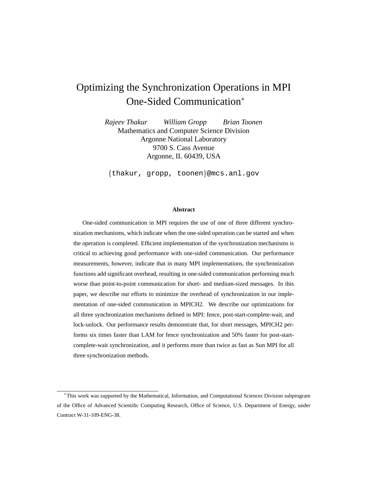# Optimizing the Synchronization Operations in MPI One-Sided Communication<sup>∗</sup>

*Rajeev Thakur William Gropp Brian Toonen* Mathematics and Computer Science Division Argonne National Laboratory 9700 S. Cass Avenue Argonne, IL 60439, USA

{thakur, gropp, toonen}@mcs.anl.gov

#### **Abstract**

One-sided communication in MPI requires the use of one of three different synchronization mechanisms, which indicate when the one-sided operation can be started and when the operation is completed. Efficient implementation of the synchronization mechanisms is critical to achieving good performance with one-sided communication. Our performance measurements, however, indicate that in many MPI implementations, the synchronization functions add significant overhead, resulting in one-sided communication performing much worse than point-to-point communication for short- and medium-sized messages. In this paper, we describe our efforts to minimize the overhead of synchronization in our implementation of one-sided communication in MPICH2. We describe our optimizations for all three synchronization mechanisms defined in MPI: fence, post-start-complete-wait, and lock-unlock. Our performance results demonstrate that, for short messages, MPICH2 performs six times faster than LAM for fence synchronization and 50% faster for post-startcomplete-wait synchronization, and it performs more than twice as fast as Sun MPI for all three synchronization methods.

<sup>∗</sup>This work was supported by the Mathematical, Information, and Computational Sciences Division subprogram of the Office of Advanced Scientific Computing Research, Office of Science, U.S. Department of Energy, under Contract W-31-109-ENG-38.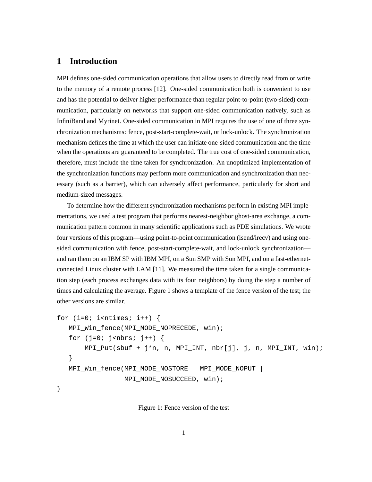# **1 Introduction**

MPI defines one-sided communication operations that allow users to directly read from or write to the memory of a remote process [12]. One-sided communication both is convenient to use and has the potential to deliver higher performance than regular point-to-point (two-sided) communication, particularly on networks that support one-sided communication natively, such as InfiniBand and Myrinet. One-sided communication in MPI requires the use of one of three synchronization mechanisms: fence, post-start-complete-wait, or lock-unlock. The synchronization mechanism defines the time at which the user can initiate one-sided communication and the time when the operations are guaranteed to be completed. The true cost of one-sided communication, therefore, must include the time taken for synchronization. An unoptimized implementation of the synchronization functions may perform more communication and synchronization than necessary (such as a barrier), which can adversely affect performance, particularly for short and medium-sized messages.

To determine how the different synchronization mechanisms perform in existing MPI implementations, we used a test program that performs nearest-neighbor ghost-area exchange, a communication pattern common in many scientific applications such as PDE simulations. We wrote four versions of this program—using point-to-point communication (isend/irecv) and using onesided communication with fence, post-start-complete-wait, and lock-unlock synchronization and ran them on an IBM SP with IBM MPI, on a Sun SMP with Sun MPI, and on a fast-ethernetconnected Linux cluster with LAM [11]. We measured the time taken for a single communication step (each process exchanges data with its four neighbors) by doing the step a number of times and calculating the average. Figure 1 shows a template of the fence version of the test; the other versions are similar.

```
for (i=0; i<sub>entimes</sub>; i++) {
  MPI_Win_fence(MPI_MODE_NOPRECEDE, win);
   for (j=0; j<nbrs; j++) {
       MPI_Put(sbuf + j*n, n, MPI_INT, nbr[j], j, n, MPI_INT, win);
   }
  MPI_Win_fence(MPI_MODE_NOSTORE | MPI_MODE_NOPUT |
                  MPI_MODE_NOSUCCEED, win);
}
```
Figure 1: Fence version of the test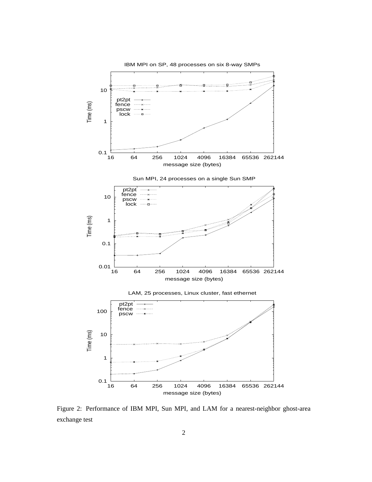

Figure 2: Performance of IBM MPI, Sun MPI, and LAM for a nearest-neighbor ghost-area exchange test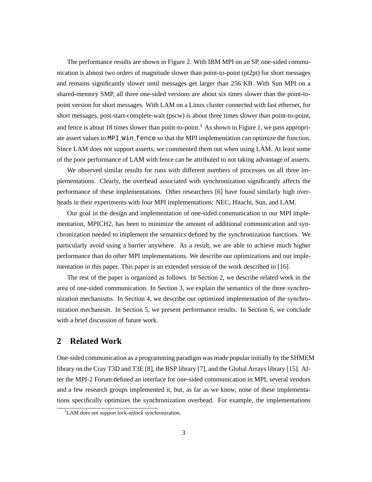The performance results are shown in Figure 2. With IBM MPI on an SP, one-sided communication is almost two orders of magnitude slower than point-to-point (pt2pt) for short messages and remains significantly slower until messages get larger than 256 KB. With Sun MPI on a shared-memory SMP, all three one-sided versions are about six times slower than the point-topoint version for short messages. With LAM on a Linux cluster connected with fast ethernet, for short messages, post-start-complete-wait (pscw) is about three times slower than point-to-point, and fence is about 18 times slower than point-to-point.<sup>1</sup> As shown in Figure 1, we pass appropriate assert values to MPI\_Win\_fence so that the MPI implementation can optimize the function. Since LAM does not support asserts, we commented them out when using LAM. At least some of the poor performance of LAM with fence can be attributed to not taking advantage of asserts.

We observed similar results for runs with different numbers of processes on all three implementations. Clearly, the overhead associated with synchronization significantly affects the performance of these implementations. Other researchers [6] have found similarly high overheads in their experiments with four MPI implementations: NEC, Hitachi, Sun, and LAM.

Our goal in the design and implementation of one-sided communication in our MPI implementation, MPICH2, has been to minimize the amount of additional communication and synchronization needed to implement the semantics defined by the synchronization functions. We particularly avoid using a barrier anywhere. As a result, we are able to achieve much higher performance than do other MPI implementations. We describe our optimizations and our implementation in this paper. This paper is an extended version of the work described in [16].

The rest of the paper is organized as follows. In Section 2, we describe related work in the area of one-sided communication. In Section 3, we explain the semantics of the three synchronization mechanisms. In Section 4, we describe our optimized implementation of the synchronization mechanism. In Section 5, we present performance results. In Section 6, we conclude with a brief discussion of future work.

## **2 Related Work**

One-sided communication as a programming paradigm was made popular initially by the SHMEM library on the Cray T3D and T3E [8], the BSP library [7], and the Global Arrays library [15]. After the MPI-2 Forum defined an interface for one-sided communication in MPI, several vendors and a few research groups implemented it, but, as far as we know, none of these implementations specifically optimizes the synchronization overhead. For example, the implementations

<sup>&</sup>lt;sup>1</sup>LAM does not support lock-unlock synchronization.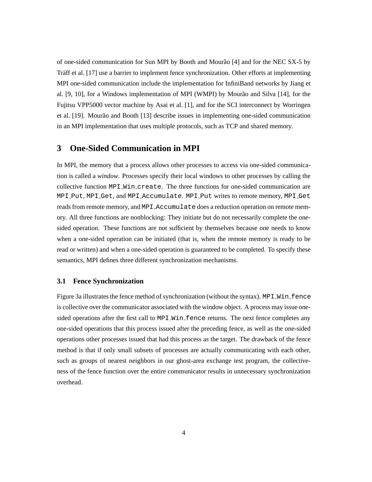of one-sided communication for Sun MPI by Booth and Mourão [4] and for the NEC SX-5 by Traff et al. [17] use a barrier to implement fence synchronization. Other efforts at implementing MPI one-sided communication include the implementation for InfiniBand networks by Jiang et al.  $[9, 10]$ , for a Windows implementation of MPI (WMPI) by Mourão and Silva  $[14]$ , for the Fujitsu VPP5000 vector machine by Asai et al. [1], and for the SCI interconnect by Worringen et al. [19]. Mourão and Booth [13] describe issues in implementing one-sided communication in an MPI implementation that uses multiple protocols, such as TCP and shared memory.

# **3 One-Sided Communication in MPI**

In MPI, the memory that a process allows other processes to access via one-sided communication is called a *window*. Processes specify their local windows to other processes by calling the collective function MPI Win create. The three functions for one-sided communication are MPI Put, MPI Get, and MPI Accumulate. MPI Put writes to remote memory, MPI Get reads from remote memory, and MPI Accumulate does a reduction operation on remote memory. All three functions are nonblocking: They initiate but do not necessarily complete the onesided operation. These functions are not sufficient by themselves because one needs to know when a one-sided operation can be initiated (that is, when the remote memory is ready to be read or written) and when a one-sided operation is guaranteed to be completed. To specify these semantics, MPI defines three different synchronization mechanisms.

#### **3.1 Fence Synchronization**

Figure 3a illustrates the fence method of synchronization (without the syntax). MPI\_Win\_fence is collective over the communicator associated with the window object. A process may issue onesided operations after the first call to MPI Win fence returns. The next fence completes any one-sided operations that this process issued after the preceding fence, as well as the one-sided operations other processes issued that had this process as the target. The drawback of the fence method is that if only small subsets of processes are actually communicating with each other, such as groups of nearest neighbors in our ghost-area exchange test program, the collectiveness of the fence function over the entire communicator results in unnecessary synchronization overhead.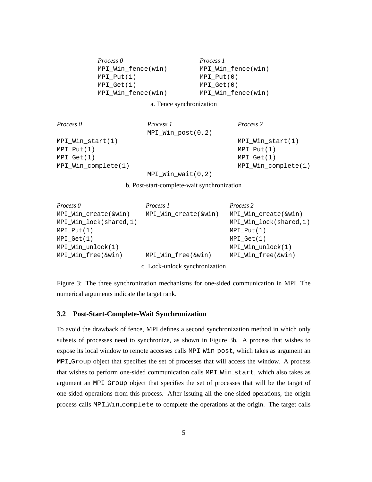| Process <sub>0</sub> | <i>Process 1</i>   |
|----------------------|--------------------|
| MPI Win fence(win)   | MPI_Win_fence(win) |
| $MPI$ $Put(1)$       | MPI Put(0)         |
| $MPI_Get(1)$         | $MPI_Get(0)$       |
| MPI Win fence(win)   | MPI_Win_fence(win) |

a. Fence synchronization

| Process 0           | Process 1           | Process 2              |
|---------------------|---------------------|------------------------|
|                     | $MPI_Win_post(0,2)$ |                        |
| MPI Win start(1)    |                     | $MPI_Win_start(1)$     |
| MPI Put(1)          |                     | MPI Put(1)             |
| MPI Get(1)          |                     | MPI Get(1)             |
| MPI_Win_complete(1) |                     | $MPI_Min\_complete(1)$ |
|                     | $MPI_Win_wait(0,2)$ |                        |

b. Post-start-complete-wait synchronization

| Process 0              | Process 1                      | Process 2              |
|------------------------|--------------------------------|------------------------|
| MPI_Win_create(&win)   | MPI_Win_create(&win)           | MPI_Win_create(&win)   |
| MPI_Win_lock(shared,1) |                                | MPI_Win_lock(shared,1) |
| $MPI\_Put(1)$          |                                | $MPI_Put(1)$           |
| MPI Get(1)             |                                | MPI Get(1)             |
| $MPI_Win_undock(1)$    |                                | $MPI_Min\_unlock(1)$   |
| MPI_Win_free(&win)     | MPI Win free(&win)             | MPI Win free(&win)     |
|                        | c. Lock-unlock synchronization |                        |

Figure 3: The three synchronization mechanisms for one-sided communication in MPI. The numerical arguments indicate the target rank.

### **3.2 Post-Start-Complete-Wait Synchronization**

To avoid the drawback of fence, MPI defines a second synchronization method in which only subsets of processes need to synchronize, as shown in Figure 3b. A process that wishes to expose its local window to remote accesses calls MPI\_Win\_post, which takes as argument an MPI Group object that specifies the set of processes that will access the window. A process that wishes to perform one-sided communication calls MPI\_Win\_start, which also takes as argument an MPI Group object that specifies the set of processes that will be the target of one-sided operations from this process. After issuing all the one-sided operations, the origin process calls MPI Win complete to complete the operations at the origin. The target calls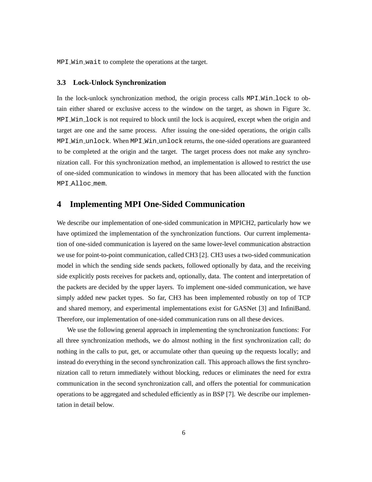MPI\_Win\_wait to complete the operations at the target.

#### **3.3 Lock-Unlock Synchronization**

In the lock-unlock synchronization method, the origin process calls MPI Win lock to obtain either shared or exclusive access to the window on the target, as shown in Figure 3c. MPI Win lock is not required to block until the lock is acquired, except when the origin and target are one and the same process. After issuing the one-sided operations, the origin calls MPI Win unlock. When MPI Win unlock returns, the one-sided operations are guaranteed to be completed at the origin and the target. The target process does not make any synchronization call. For this synchronization method, an implementation is allowed to restrict the use of one-sided communication to windows in memory that has been allocated with the function MPI Alloc mem.

### **4 Implementing MPI One-Sided Communication**

We describe our implementation of one-sided communication in MPICH2, particularly how we have optimized the implementation of the synchronization functions. Our current implementation of one-sided communication is layered on the same lower-level communication abstraction we use for point-to-point communication, called CH3 [2]. CH3 uses a two-sided communication model in which the sending side sends packets, followed optionally by data, and the receiving side explicitly posts receives for packets and, optionally, data. The content and interpretation of the packets are decided by the upper layers. To implement one-sided communication, we have simply added new packet types. So far, CH3 has been implemented robustly on top of TCP and shared memory, and experimental implementations exist for GASNet [3] and InfiniBand. Therefore, our implementation of one-sided communication runs on all these devices.

We use the following general approach in implementing the synchronization functions: For all three synchronization methods, we do almost nothing in the first synchronization call; do nothing in the calls to put, get, or accumulate other than queuing up the requests locally; and instead do everything in the second synchronization call. This approach allows the first synchronization call to return immediately without blocking, reduces or eliminates the need for extra communication in the second synchronization call, and offers the potential for communication operations to be aggregated and scheduled efficiently as in BSP [7]. We describe our implementation in detail below.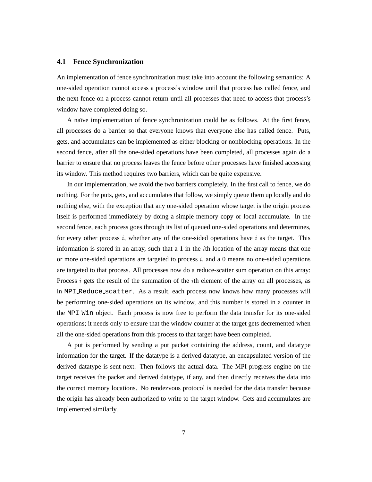#### **4.1 Fence Synchronization**

An implementation of fence synchronization must take into account the following semantics: A one-sided operation cannot access a process's window until that process has called fence, and the next fence on a process cannot return until all processes that need to access that process's window have completed doing so.

A naïve implementation of fence synchronization could be as follows. At the first fence, all processes do a barrier so that everyone knows that everyone else has called fence. Puts, gets, and accumulates can be implemented as either blocking or nonblocking operations. In the second fence, after all the one-sided operations have been completed, all processes again do a barrier to ensure that no process leaves the fence before other processes have finished accessing its window. This method requires two barriers, which can be quite expensive.

In our implementation, we avoid the two barriers completely. In the first call to fence, we do nothing. For the puts, gets, and accumulates that follow, we simply queue them up locally and do nothing else, with the exception that any one-sided operation whose target is the origin process itself is performed immediately by doing a simple memory copy or local accumulate. In the second fence, each process goes through its list of queued one-sided operations and determines, for every other process i, whether any of the one-sided operations have i as the target. This information is stored in an array, such that a 1 in the *i*th location of the array means that one or more one-sided operations are targeted to process  $i$ , and a 0 means no one-sided operations are targeted to that process. All processes now do a reduce-scatter sum operation on this array: Process  $i$  gets the result of the summation of the *i*th element of the array on all processes, as in MPI Reduce scatter. As a result, each process now knows how many processes will be performing one-sided operations on its window, and this number is stored in a counter in the MPI Win object. Each process is now free to perform the data transfer for its one-sided operations; it needs only to ensure that the window counter at the target gets decremented when all the one-sided operations from this process to that target have been completed.

A put is performed by sending a put packet containing the address, count, and datatype information for the target. If the datatype is a derived datatype, an encapsulated version of the derived datatype is sent next. Then follows the actual data. The MPI progress engine on the target receives the packet and derived datatype, if any, and then directly receives the data into the correct memory locations. No rendezvous protocol is needed for the data transfer because the origin has already been authorized to write to the target window. Gets and accumulates are implemented similarly.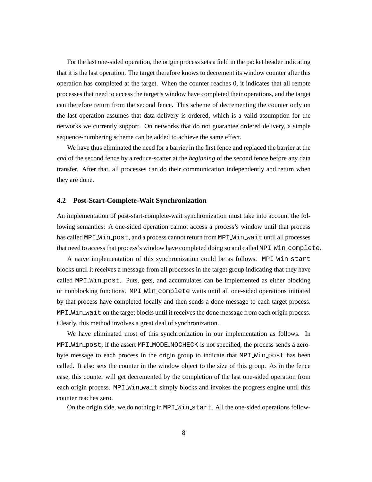For the last one-sided operation, the origin process sets a field in the packet header indicating that it is the last operation. The target therefore knows to decrement its window counter after this operation has completed at the target. When the counter reaches 0, it indicates that all remote processes that need to access the target's window have completed their operations, and the target can therefore return from the second fence. This scheme of decrementing the counter only on the last operation assumes that data delivery is ordered, which is a valid assumption for the networks we currently support. On networks that do not guarantee ordered delivery, a simple sequence-numbering scheme can be added to achieve the same effect.

We have thus eliminated the need for a barrier in the first fence and replaced the barrier at the *end* of the second fence by a reduce-scatter at the *beginning* of the second fence before any data transfer. After that, all processes can do their communication independently and return when they are done.

### **4.2 Post-Start-Complete-Wait Synchronization**

An implementation of post-start-complete-wait synchronization must take into account the following semantics: A one-sided operation cannot access a process's window until that process has called MPI Win post, and a process cannot return from MPI Win wait until all processes that need to access that process's window have completed doing so and called MPI\_Win\_complete.

A naïve implementation of this synchronization could be as follows. MPI\_Win\_start blocks until it receives a message from all processes in the target group indicating that they have called MPI Win post. Puts, gets, and accumulates can be implemented as either blocking or nonblocking functions. MPI Win complete waits until all one-sided operations initiated by that process have completed locally and then sends a done message to each target process. MPI Win wait on the target blocks until it receives the done message from each origin process. Clearly, this method involves a great deal of synchronization.

We have eliminated most of this synchronization in our implementation as follows. In MPI Win post, if the assert MPI MODE NOCHECK is not specified, the process sends a zerobyte message to each process in the origin group to indicate that MPI Win post has been called. It also sets the counter in the window object to the size of this group. As in the fence case, this counter will get decremented by the completion of the last one-sided operation from each origin process. MPI\_Win\_wait simply blocks and invokes the progress engine until this counter reaches zero.

On the origin side, we do nothing in MPI Win start. All the one-sided operations follow-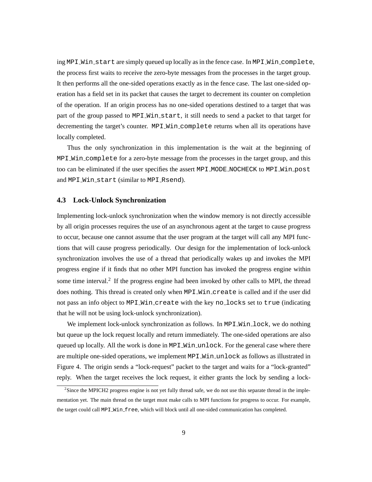ing MPI Win start are simply queued up locally as in the fence case. In MPI Win complete, the process first waits to receive the zero-byte messages from the processes in the target group. It then performs all the one-sided operations exactly as in the fence case. The last one-sided operation has a field set in its packet that causes the target to decrement its counter on completion of the operation. If an origin process has no one-sided operations destined to a target that was part of the group passed to MPI Win start, it still needs to send a packet to that target for decrementing the target's counter. MPI Win complete returns when all its operations have locally completed.

Thus the only synchronization in this implementation is the wait at the beginning of MPI Win complete for a zero-byte message from the processes in the target group, and this too can be eliminated if the user specifies the assert MPI MODE NOCHECK to MPI Win post and MPI\_Win\_start (similar to MPI\_Rsend).

### **4.3 Lock-Unlock Synchronization**

Implementing lock-unlock synchronization when the window memory is not directly accessible by all origin processes requires the use of an asynchronous agent at the target to cause progress to occur, because one cannot assume that the user program at the target will call any MPI functions that will cause progress periodically. Our design for the implementation of lock-unlock synchronization involves the use of a thread that periodically wakes up and invokes the MPI progress engine if it finds that no other MPI function has invoked the progress engine within some time interval.<sup>2</sup> If the progress engine had been invoked by other calls to MPI, the thread does nothing. This thread is created only when MPI Win create is called and if the user did not pass an info object to MPI Win create with the key no locks set to true (indicating that he will not be using lock-unlock synchronization).

We implement lock-unlock synchronization as follows. In MPI\_Win\_lock, we do nothing but queue up the lock request locally and return immediately. The one-sided operations are also queued up locally. All the work is done in MPI\_Win\_unlock. For the general case where there are multiple one-sided operations, we implement MPI\_Win\_unlock as follows as illustrated in Figure 4. The origin sends a "lock-request" packet to the target and waits for a "lock-granted" reply. When the target receives the lock request, it either grants the lock by sending a lock-

<sup>&</sup>lt;sup>2</sup>Since the MPICH2 progress engine is not yet fully thread safe, we do not use this separate thread in the implementation yet. The main thread on the target must make calls to MPI functions for progress to occur. For example, the target could call MPI Win free, which will block until all one-sided communication has completed.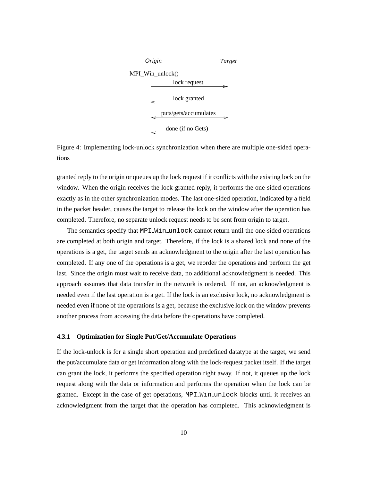

Figure 4: Implementing lock-unlock synchronization when there are multiple one-sided operations

granted reply to the origin or queues up the lock request if it conflicts with the existing lock on the window. When the origin receives the lock-granted reply, it performs the one-sided operations exactly as in the other synchronization modes. The last one-sided operation, indicated by a field in the packet header, causes the target to release the lock on the window after the operation has completed. Therefore, no separate unlock request needs to be sent from origin to target.

The semantics specify that MPI\_Win\_unlock cannot return until the one-sided operations are completed at both origin and target. Therefore, if the lock is a shared lock and none of the operations is a get, the target sends an acknowledgment to the origin after the last operation has completed. If any one of the operations is a get, we reorder the operations and perform the get last. Since the origin must wait to receive data, no additional acknowledgment is needed. This approach assumes that data transfer in the network is ordered. If not, an acknowledgment is needed even if the last operation is a get. If the lock is an exclusive lock, no acknowledgment is needed even if none of the operations is a get, because the exclusive lock on the window prevents another process from accessing the data before the operations have completed.

#### **4.3.1 Optimization for Single Put/Get/Accumulate Operations**

If the lock-unlock is for a single short operation and predefined datatype at the target, we send the put/accumulate data or get information along with the lock-request packet itself. If the target can grant the lock, it performs the specified operation right away. If not, it queues up the lock request along with the data or information and performs the operation when the lock can be granted. Except in the case of get operations, MPI Win unlock blocks until it receives an acknowledgment from the target that the operation has completed. This acknowledgment is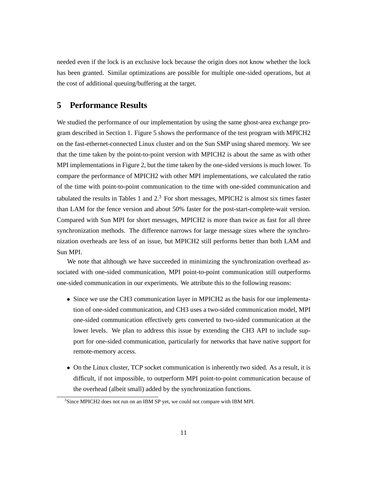needed even if the lock is an exclusive lock because the origin does not know whether the lock has been granted. Similar optimizations are possible for multiple one-sided operations, but at the cost of additional queuing/buffering at the target.

# **5 Performance Results**

We studied the performance of our implementation by using the same ghost-area exchange program described in Section 1. Figure 5 shows the performance of the test program with MPICH2 on the fast-ethernet-connected Linux cluster and on the Sun SMP using shared memory. We see that the time taken by the point-to-point version with MPICH2 is about the same as with other MPI implementations in Figure 2, but the time taken by the one-sided versions is much lower. To compare the performance of MPICH2 with other MPI implementations, we calculated the ratio of the time with point-to-point communication to the time with one-sided communication and tabulated the results in Tables 1 and  $2<sup>3</sup>$  For short messages, MPICH2 is almost six times faster than LAM for the fence version and about 50% faster for the post-start-complete-wait version. Compared with Sun MPI for short messages, MPICH2 is more than twice as fast for all three synchronization methods. The difference narrows for large message sizes where the synchronization overheads are less of an issue, but MPICH2 still performs better than both LAM and Sun MPI.

We note that although we have succeeded in minimizing the synchronization overhead associated with one-sided communication, MPI point-to-point communication still outperforms one-sided communication in our experiments. We attribute this to the following reasons:

- Since we use the CH3 communication layer in MPICH2 as the basis for our implementation of one-sided communication, and CH3 uses a two-sided communication model, MPI one-sided communication effectively gets converted to two-sided communication at the lower levels. We plan to address this issue by extending the CH3 API to include support for one-sided communication, particularly for networks that have native support for remote-memory access.
- On the Linux cluster, TCP socket communication is inherently two sided. As a result, it is difficult, if not impossible, to outperform MPI point-to-point communication because of the overhead (albeit small) added by the synchronization functions.

<sup>&</sup>lt;sup>3</sup>Since MPICH2 does not run on an IBM SP yet, we could not compare with IBM MPI.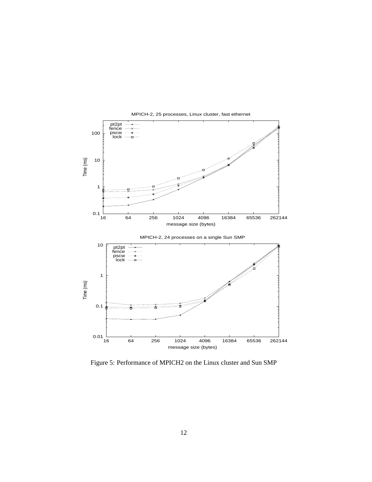

MPICH-2, 25 processes, Linux cluster, fast ethernet

Figure 5: Performance of MPICH2 on the Linux cluster and Sun SMP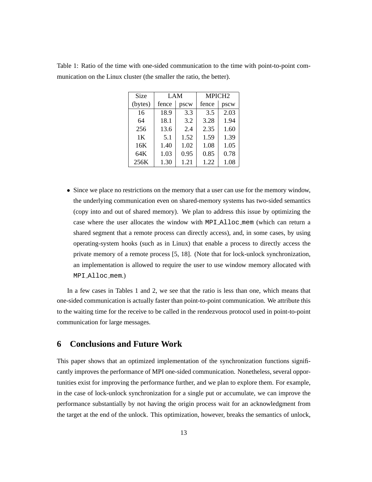| Size    | LAM   |      | MPICH <sub>2</sub> |      |  |
|---------|-------|------|--------------------|------|--|
| (bytes) | fence | pscw | fence              | pscw |  |
| 16      | 18.9  | 3.3  | 3.5                | 2.03 |  |
| 64      | 18.1  | 3.2  | 3.28               | 1.94 |  |
| 256     | 13.6  | 2.4  | 2.35               | 1.60 |  |
| 1K      | 5.1   | 1.52 | 1.59               | 1.39 |  |
| 16K     | 1.40  | 1.02 | 1.08               | 1.05 |  |
| 64K     | 1.03  | 0.95 | 0.85               | 0.78 |  |
| 256K    | 1.30  | 1.21 | 1.22               | 1.08 |  |

Table 1: Ratio of the time with one-sided communication to the time with point-to-point communication on the Linux cluster (the smaller the ratio, the better).

• Since we place no restrictions on the memory that a user can use for the memory window, the underlying communication even on shared-memory systems has two-sided semantics (copy into and out of shared memory). We plan to address this issue by optimizing the case where the user allocates the window with MPI Alloc mem (which can return a shared segment that a remote process can directly access), and, in some cases, by using operating-system hooks (such as in Linux) that enable a process to directly access the private memory of a remote process [5, 18]. (Note that for lock-unlock synchronization, an implementation is allowed to require the user to use window memory allocated with MPI Alloc mem.)

In a few cases in Tables 1 and 2, we see that the ratio is less than one, which means that one-sided communication is actually faster than point-to-point communication. We attribute this to the waiting time for the receive to be called in the rendezvous protocol used in point-to-point communication for large messages.

# **6 Conclusions and Future Work**

This paper shows that an optimized implementation of the synchronization functions significantly improves the performance of MPI one-sided communication. Nonetheless, several opportunities exist for improving the performance further, and we plan to explore them. For example, in the case of lock-unlock synchronization for a single put or accumulate, we can improve the performance substantially by not having the origin process wait for an acknowledgment from the target at the end of the unlock. This optimization, however, breaks the semantics of unlock,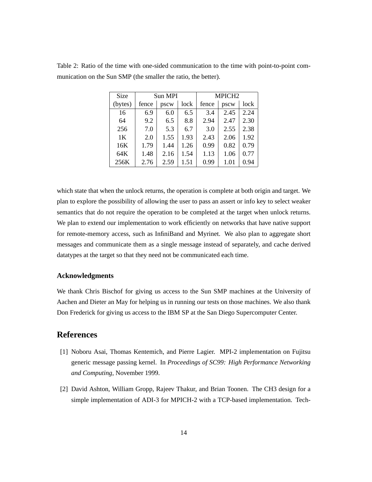| Size           | Sun MPI |      | MPICH <sub>2</sub> |       |      |      |
|----------------|---------|------|--------------------|-------|------|------|
| (bytes)        | fence   | pscw | lock               | fence | pscw | lock |
| 16             | 6.9     | 6.0  | 6.5                | 3.4   | 2.45 | 2.24 |
| 64             | 9.2     | 6.5  | 8.8                | 2.94  | 2.47 | 2.30 |
| 256            | 7.0     | 5.3  | 6.7                | 3.0   | 2.55 | 2.38 |
| 1 <sub>K</sub> | 2.0     | 1.55 | 1.93               | 2.43  | 2.06 | 1.92 |
| 16K            | 1.79    | 1.44 | 1.26               | 0.99  | 0.82 | 0.79 |
| 64K            | 1.48    | 2.16 | 1.54               | 1.13  | 1.06 | 0.77 |
| 256K           | 2.76    | 2.59 | 1.51               | 0.99  | 1.01 | 0.94 |

Table 2: Ratio of the time with one-sided communication to the time with point-to-point communication on the Sun SMP (the smaller the ratio, the better).

which state that when the unlock returns, the operation is complete at both origin and target. We plan to explore the possibility of allowing the user to pass an assert or info key to select weaker semantics that do not require the operation to be completed at the target when unlock returns. We plan to extend our implementation to work efficiently on networks that have native support for remote-memory access, such as InfiniBand and Myrinet. We also plan to aggregate short messages and communicate them as a single message instead of separately, and cache derived datatypes at the target so that they need not be communicated each time.

### **Acknowledgments**

We thank Chris Bischof for giving us access to the Sun SMP machines at the University of Aachen and Dieter an May for helping us in running our tests on those machines. We also thank Don Frederick for giving us access to the IBM SP at the San Diego Supercomputer Center.

### **References**

- [1] Noboru Asai, Thomas Kentemich, and Pierre Lagier. MPI-2 implementation on Fujitsu generic message passing kernel. In *Proceedings of SC99: High Performance Networking and Computing*, November 1999.
- [2] David Ashton, William Gropp, Rajeev Thakur, and Brian Toonen. The CH3 design for a simple implementation of ADI-3 for MPICH-2 with a TCP-based implementation. Tech-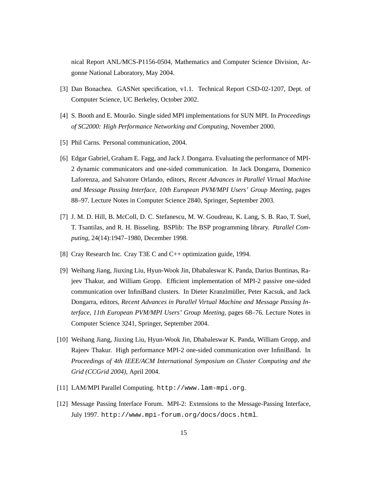nical Report ANL/MCS-P1156-0504, Mathematics and Computer Science Division, Argonne National Laboratory, May 2004.

- [3] Dan Bonachea. GASNet specification, v1.1. Technical Report CSD-02-1207, Dept. of Computer Science, UC Berkeley, October 2002.
- [4] S. Booth and E. Mourão. Single sided MPI implementations for SUN MPI. In *Proceedings of SC2000: High Performance Networking and Computing*, November 2000.
- [5] Phil Carns. Personal communication, 2004.
- [6] Edgar Gabriel, Graham E. Fagg, and Jack J. Dongarra. Evaluating the performance of MPI-2 dynamic communicators and one-sided communication. In Jack Dongarra, Domenico Laforenza, and Salvatore Orlando, editors, *Recent Advances in Parallel Virtual Machine and Message Passing Interface, 10th European PVM/MPI Users' Group Meeting*, pages 88–97. Lecture Notes in Computer Science 2840, Springer, September 2003.
- [7] J. M. D. Hill, B. McColl, D. C. Stefanescu, M. W. Goudreau, K. Lang, S. B. Rao, T. Suel, T. Tsantilas, and R. H. Bisseling. BSPlib: The BSP programming library. *Parallel Computing*, 24(14):1947–1980, December 1998.
- [8] Cray Research Inc. Cray T3E C and C++ optimization guide, 1994.
- [9] Weihang Jiang, Jiuxing Liu, Hyun-Wook Jin, Dhabaleswar K. Panda, Darius Buntinas, Rajeev Thakur, and William Gropp. Efficient implementation of MPI-2 passive one-sided communication over InfiniBand clusters. In Dieter Kranzlmuller, Peter Kacsuk, and Jack ¨ Dongarra, editors, *Recent Advances in Parallel Virtual Machine and Message Passing Interface, 11th European PVM/MPI Users' Group Meeting*, pages 68–76. Lecture Notes in Computer Science 3241, Springer, September 2004.
- [10] Weihang Jiang, Jiuxing Liu, Hyun-Wook Jin, Dhabaleswar K. Panda, William Gropp, and Rajeev Thakur. High performance MPI-2 one-sided communication over InfiniBand. In *Proceedings of 4th IEEE/ACM International Symposium on Cluster Computing and the Grid (CCGrid 2004)*, April 2004.
- [11] LAM/MPI Parallel Computing. http://www.lam-mpi.org.
- [12] Message Passing Interface Forum. MPI-2: Extensions to the Message-Passing Interface, July 1997. http://www.mpi-forum.org/docs/docs.html.